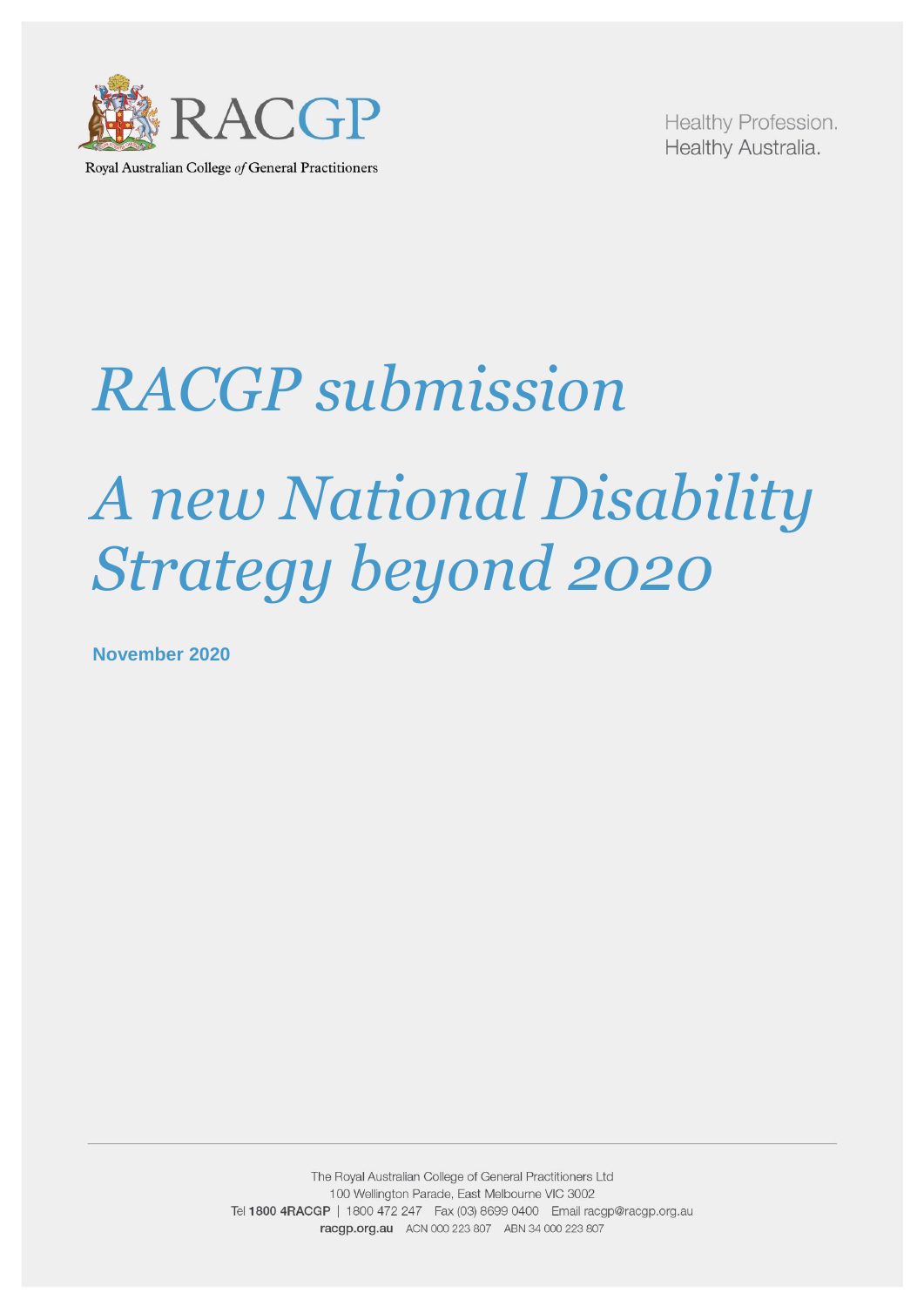

Royal Australian College of General Practitioners

Healthy Profession. Healthy Australia.

# *RACGP submission A new National Disability Strategy beyond 2020*

**November 2020**

The Royal Australian College of General Practitioners Ltd 100 Wellington Parade, East Melbourne VIC 3002 Tel 1800 4RACGP | 1800 472 247 Fax (03) 8699 0400 Email racgp@racgp.org.au racgp.org.au ACN 000 223 807 ABN 34 000 223 807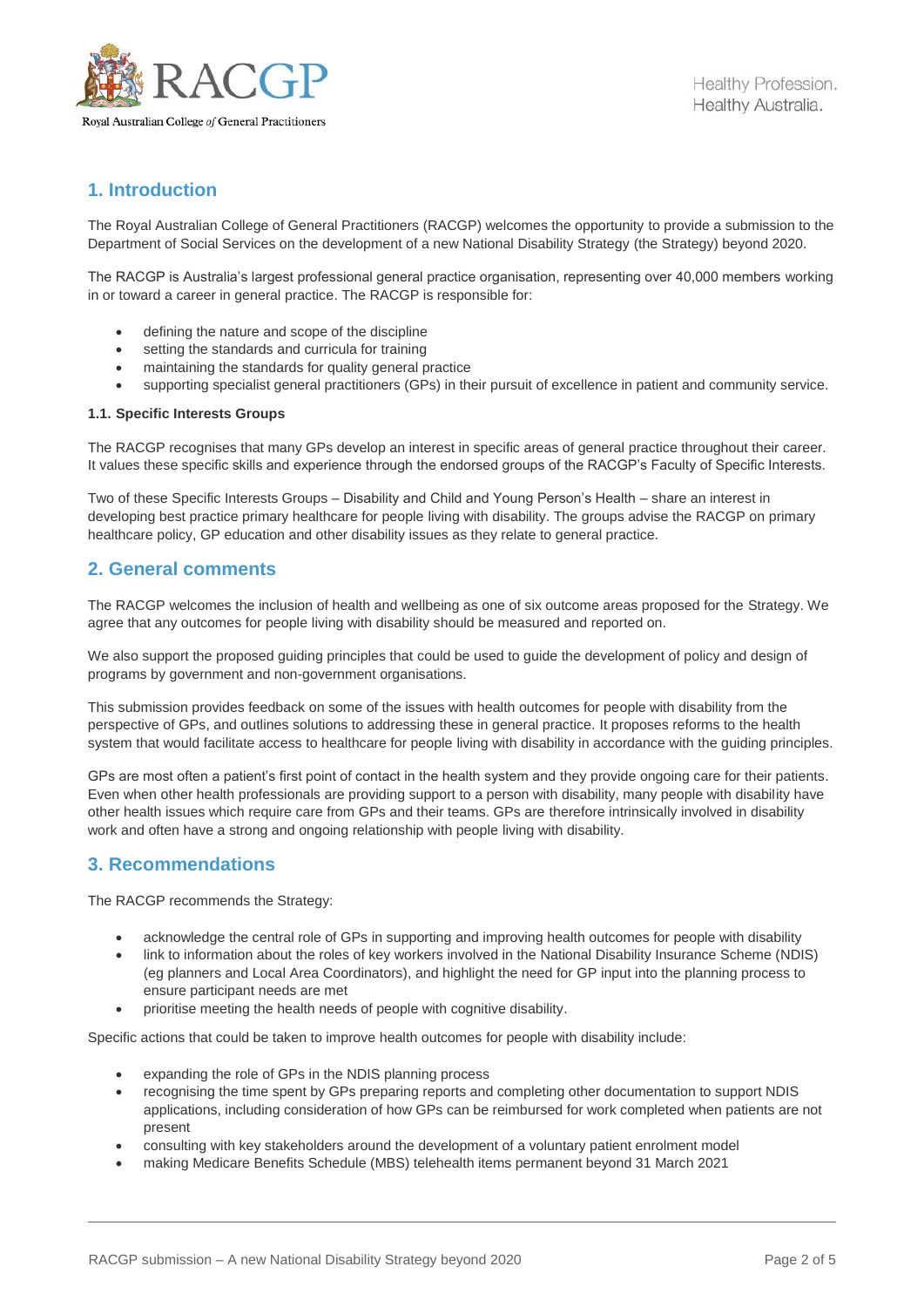

# **1. Introduction**

The Royal Australian College of General Practitioners (RACGP) welcomes the opportunity to provide a submission to the Department of Social Services on the development of a new National Disability Strategy (the Strategy) beyond 2020.

The RACGP is Australia's largest professional general practice organisation, representing over 40,000 members working in or toward a career in general practice. The RACGP is responsible for:

- defining the nature and scope of the discipline
- setting the standards and curricula for training
- maintaining the standards for quality general practice
- supporting specialist general practitioners (GPs) in their pursuit of excellence in patient and community service.

#### **1.1. Specific Interests Groups**

The RACGP recognises that many GPs develop an interest in specific areas of general practice throughout their career. It values these specific skills and experience through the endorsed groups of the RACGP's Faculty of Specific Interests.

Two of these Specific Interests Groups – Disability and Child and Young Person's Health – share an interest in developing best practice primary healthcare for people living with disability. The groups advise the RACGP on primary healthcare policy, GP education and other disability issues as they relate to general practice.

#### **2. General comments**

The RACGP welcomes the inclusion of health and wellbeing as one of six outcome areas proposed for the Strategy. We agree that any outcomes for people living with disability should be measured and reported on.

We also support the proposed quiding principles that could be used to quide the development of policy and design of programs by government and non-government organisations.

This submission provides feedback on some of the issues with health outcomes for people with disability from the perspective of GPs, and outlines solutions to addressing these in general practice. It proposes reforms to the health system that would facilitate access to healthcare for people living with disability in accordance with the guiding principles.

GPs are most often a patient's first point of contact in the health system and they provide ongoing care for their patients. Even when other health professionals are providing support to a person with disability, many people with disability have other health issues which require care from GPs and their teams. GPs are therefore intrinsically involved in disability work and often have a strong and ongoing relationship with people living with disability.

### **3. Recommendations**

The RACGP recommends the Strategy:

- acknowledge the central role of GPs in supporting and improving health outcomes for people with disability
- link to information about the roles of key workers involved in the National Disability Insurance Scheme (NDIS) (eg planners and Local Area Coordinators), and highlight the need for GP input into the planning process to ensure participant needs are met
- prioritise meeting the health needs of people with cognitive disability.

Specific actions that could be taken to improve health outcomes for people with disability include:

- expanding the role of GPs in the NDIS planning process
- recognising the time spent by GPs preparing reports and completing other documentation to support NDIS applications, including consideration of how GPs can be reimbursed for work completed when patients are not present
- consulting with key stakeholders around the development of a voluntary patient enrolment model
- making Medicare Benefits Schedule (MBS) telehealth items permanent beyond 31 March 2021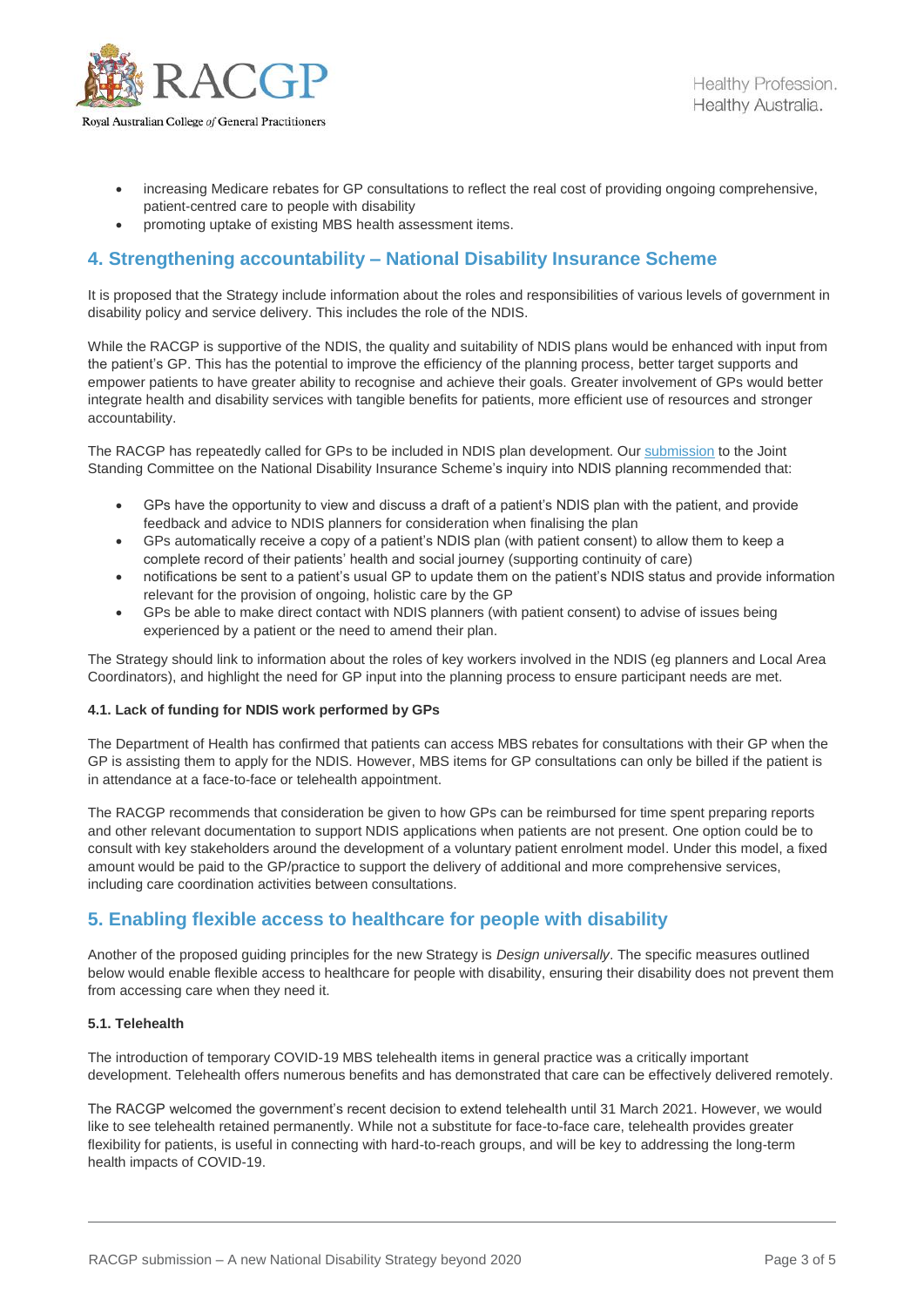

- increasing Medicare rebates for GP consultations to reflect the real cost of providing ongoing comprehensive, patient-centred care to people with disability
- promoting uptake of existing MBS health assessment items.

## **4. Strengthening accountability – National Disability Insurance Scheme**

It is proposed that the Strategy include information about the roles and responsibilities of various levels of government in disability policy and service delivery. This includes the role of the NDIS.

While the RACGP is supportive of the NDIS, the quality and suitability of NDIS plans would be enhanced with input from the patient's GP. This has the potential to improve the efficiency of the planning process, better target supports and empower patients to have greater ability to recognise and achieve their goals. Greater involvement of GPs would better integrate health and disability services with tangible benefits for patients, more efficient use of resources and stronger accountability.

The RACGP has repeatedly called for GPs to be included in NDIS plan development. Ou[r submission](https://www.racgp.org.au/FSDEDEV/media/documents/RACGP/Reports%20and%20submissions/2019/Submission-Inquiry-into-NDIS-planning.pdf) to the Joint Standing Committee on the National Disability Insurance Scheme's inquiry into NDIS planning recommended that:

- GPs have the opportunity to view and discuss a draft of a patient's NDIS plan with the patient, and provide feedback and advice to NDIS planners for consideration when finalising the plan
- GPs automatically receive a copy of a patient's NDIS plan (with patient consent) to allow them to keep a complete record of their patients' health and social journey (supporting continuity of care)
- notifications be sent to a patient's usual GP to update them on the patient's NDIS status and provide information relevant for the provision of ongoing, holistic care by the GP
- GPs be able to make direct contact with NDIS planners (with patient consent) to advise of issues being experienced by a patient or the need to amend their plan.

The Strategy should link to information about the roles of key workers involved in the NDIS (eg planners and Local Area Coordinators), and highlight the need for GP input into the planning process to ensure participant needs are met.

#### **4.1. Lack of funding for NDIS work performed by GPs**

The Department of Health has confirmed that patients can access MBS rebates for consultations with their GP when the GP is assisting them to apply for the NDIS. However, MBS items for GP consultations can only be billed if the patient is in attendance at a face-to-face or telehealth appointment.

The RACGP recommends that consideration be given to how GPs can be reimbursed for time spent preparing reports and other relevant documentation to support NDIS applications when patients are not present. One option could be to consult with key stakeholders around the development of a voluntary patient enrolment model. Under this model, a fixed amount would be paid to the GP/practice to support the delivery of additional and more comprehensive services, including care coordination activities between consultations.

## **5. Enabling flexible access to healthcare for people with disability**

Another of the proposed guiding principles for the new Strategy is *Design universally*. The specific measures outlined below would enable flexible access to healthcare for people with disability, ensuring their disability does not prevent them from accessing care when they need it.

#### **5.1. Telehealth**

The introduction of temporary COVID-19 MBS telehealth items in general practice was a critically important development. Telehealth offers numerous benefits and has demonstrated that care can be effectively delivered remotely.

The RACGP welcomed the government's recent decision to extend telehealth until 31 March 2021. However, we would like to see telehealth retained permanently. While not a substitute for face-to-face care, telehealth provides greater flexibility for patients, is useful in connecting with hard-to-reach groups, and will be key to addressing the long-term health impacts of COVID-19.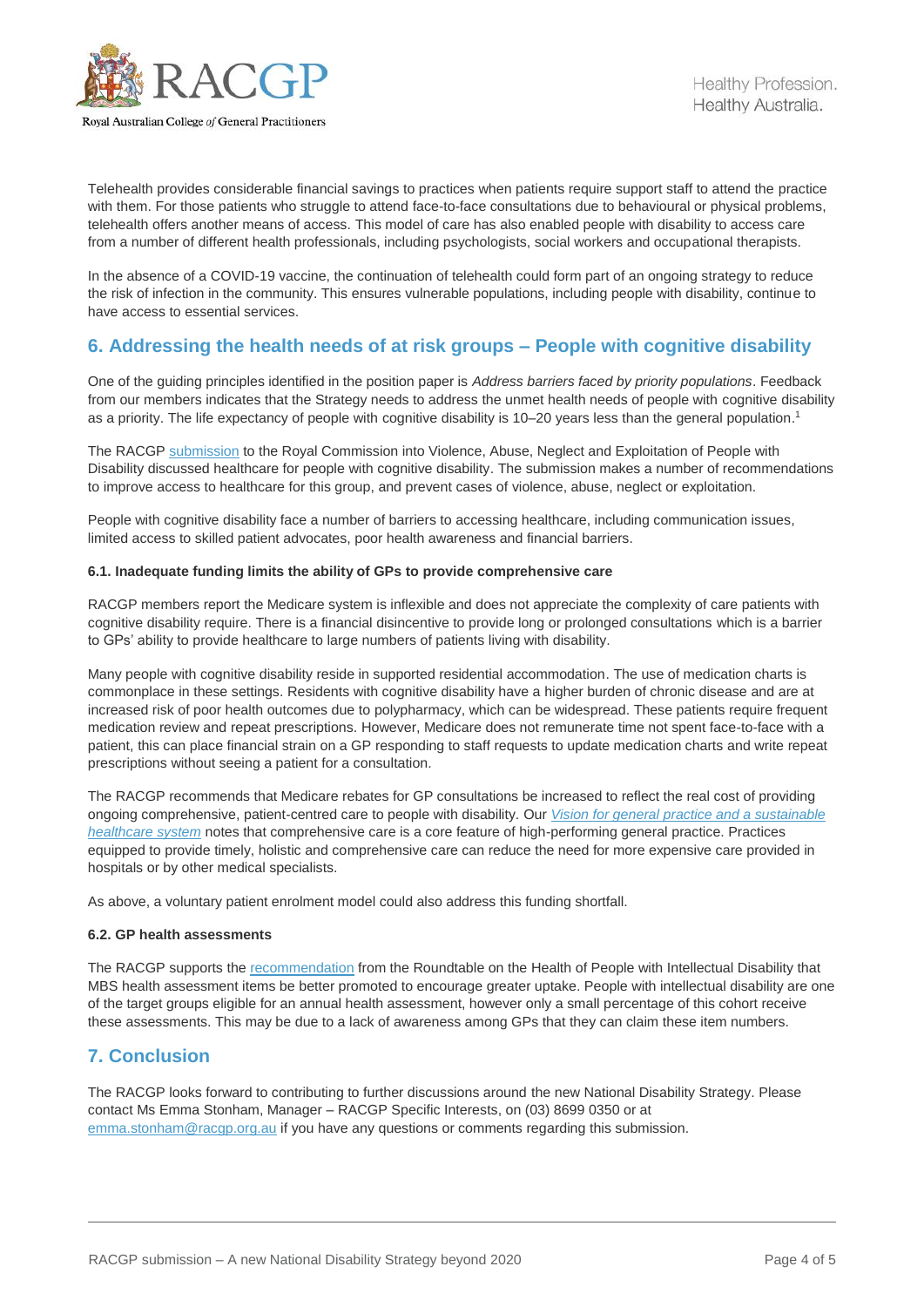

Telehealth provides considerable financial savings to practices when patients require support staff to attend the practice with them. For those patients who struggle to attend face-to-face consultations due to behavioural or physical problems, telehealth offers another means of access. This model of care has also enabled people with disability to access care from a number of different health professionals, including psychologists, social workers and occupational therapists.

In the absence of a COVID-19 vaccine, the continuation of telehealth could form part of an ongoing strategy to reduce the risk of infection in the community. This ensures vulnerable populations, including people with disability, continue to have access to essential services.

## **6. Addressing the health needs of at risk groups – People with cognitive disability**

One of the guiding principles identified in the position paper is *Address barriers faced by priority populations*. Feedback from our members indicates that the Strategy needs to address the unmet health needs of people with cognitive disability as a priority. The life expectancy of people with cognitive disability is 10–20 years less than the general population.<sup>1</sup>

The RACGP [submission](https://www.racgp.org.au/getmedia/06c7a743-30aa-42c5-b53b-6a4b629ab222/RACGP-submission-Healthcare-for-people-with-cognitive-disability.pdf.aspx) to the Royal Commission into Violence, Abuse, Neglect and Exploitation of People with Disability discussed healthcare for people with cognitive disability. The submission makes a number of recommendations to improve access to healthcare for this group, and prevent cases of violence, abuse, neglect or exploitation.

People with cognitive disability face a number of barriers to accessing healthcare, including communication issues, limited access to skilled patient advocates, poor health awareness and financial barriers.

#### **6.1. Inadequate funding limits the ability of GPs to provide comprehensive care**

RACGP members report the Medicare system is inflexible and does not appreciate the complexity of care patients with cognitive disability require. There is a financial disincentive to provide long or prolonged consultations which is a barrier to GPs' ability to provide healthcare to large numbers of patients living with disability.

Many people with cognitive disability reside in supported residential accommodation. The use of medication charts is commonplace in these settings. Residents with cognitive disability have a higher burden of chronic disease and are at increased risk of poor health outcomes due to polypharmacy, which can be widespread. These patients require frequent medication review and repeat prescriptions. However, Medicare does not remunerate time not spent face-to-face with a patient, this can place financial strain on a GP responding to staff requests to update medication charts and write repeat prescriptions without seeing a patient for a consultation.

The RACGP recommends that Medicare rebates for GP consultations be increased to reflect the real cost of providing ongoing comprehensive, patient-centred care to people with disability. Our *[Vision for general practice and a sustainable](https://www.racgp.org.au/getattachment/e8ad4284-34d3-48ca-825e-45d58b2d49da/The-Vision-for-general-practice.aspx)  [healthcare system](https://www.racgp.org.au/getattachment/e8ad4284-34d3-48ca-825e-45d58b2d49da/The-Vision-for-general-practice.aspx)* notes that comprehensive care is a core feature of high-performing general practice. Practices equipped to provide timely, holistic and comprehensive care can reduce the need for more expensive care provided in hospitals or by other medical specialists.

As above, a voluntary patient enrolment model could also address this funding shortfall.

#### **6.2. GP health assessments**

The RACGP supports the [recommendation](https://www1.health.gov.au/internet/main/publishing.nsf/Content/8D96BCAC9A5B553ACA2584880001A667/$File/Roundtable-on-the-Health-of-People-with-Intellectual-Disability-Summary-and-Recommendations.pdf) from the Roundtable on the Health of People with Intellectual Disability that MBS health assessment items be better promoted to encourage greater uptake. People with intellectual disability are one of the target groups eligible for an annual health assessment, however only a small percentage of this cohort receive these assessments. This may be due to a lack of awareness among GPs that they can claim these item numbers.

## **7. Conclusion**

The RACGP looks forward to contributing to further discussions around the new National Disability Strategy. Please contact Ms Emma Stonham, Manager – RACGP Specific Interests, on (03) 8699 0350 or at [emma.stonham@racgp.org.au](mailto:emma.stonham@racgp.org.au) if you have any questions or comments regarding this submission.